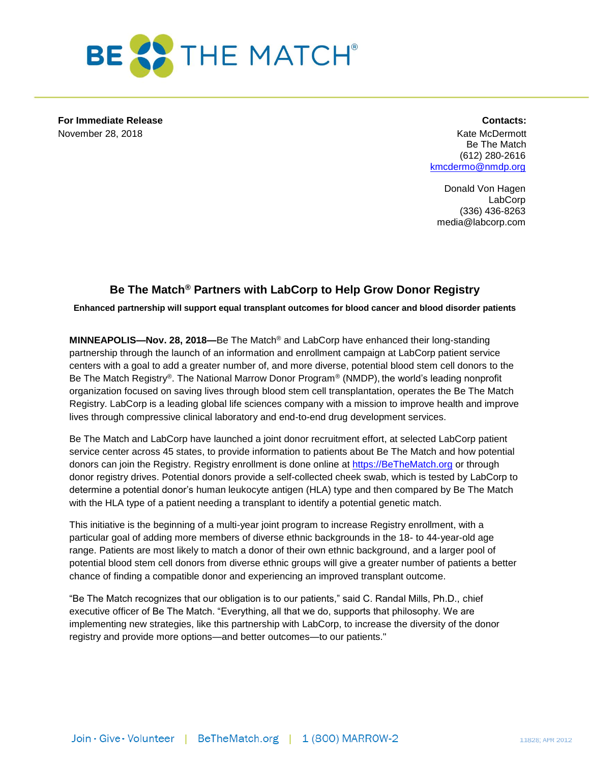

**For Immediate Release Contacts:** November 28, 2018 **Kate McDermott** Construction of the McDermott Construction of the McDermott Construction of the McDermott Construction of the McDermott Construction of the McDermott Construction of the McDermott Constru

Be The Match (612) 280-2616 [kmcdermo@nmdp.org](mailto:kmcdermo@nmdp.org)

Donald Von Hagen LabCorp (336) 436-8263 media@labcorp.com

## **Be The Match® Partners with LabCorp to Help Grow Donor Registry**

**Enhanced partnership will support equal transplant outcomes for blood cancer and blood disorder patients**

**MINNEAPOLIS—Nov. 28, 2018—**Be The Match® and LabCorp have enhanced their long-standing partnership through the launch of an information and enrollment campaign at LabCorp patient service centers with a goal to add a greater number of, and more diverse, potential blood stem cell donors to the Be The Match Registry®. The National Marrow Donor Program® (NMDP), the world's leading nonprofit organization focused on saving lives through blood stem cell transplantation, operates the Be The Match Registry. LabCorp is a leading global life sciences company with a mission to improve health and improve lives through compressive clinical laboratory and end-to-end drug development services.

Be The Match and LabCorp have launched a joint donor recruitment effort, at selected LabCorp patient service center across 45 states, to provide information to patients about Be The Match and how potential donors can join the Registry. Registry enrollment is done online at [https://BeTheMatch.org](https://bethematch.org/) or through donor registry drives. Potential donors provide a self-collected cheek swab, which is tested by LabCorp to determine a potential donor's human leukocyte antigen (HLA) type and then compared by Be The Match with the HLA type of a patient needing a transplant to identify a potential genetic match.

This initiative is the beginning of a multi-year joint program to increase Registry enrollment, with a particular goal of adding more members of diverse ethnic backgrounds in the 18- to 44-year-old age range. Patients are most likely to match a donor of their own ethnic background, and a larger pool of potential blood stem cell donors from diverse ethnic groups will give a greater number of patients a better chance of finding a compatible donor and experiencing an improved transplant outcome.

"Be The Match recognizes that our obligation is to our patients," said C. Randal Mills, Ph.D., chief executive officer of Be The Match. "Everything, all that we do, supports that philosophy. We are implementing new strategies, like this partnership with LabCorp, to increase the diversity of the donor registry and provide more options—and better outcomes—to our patients."